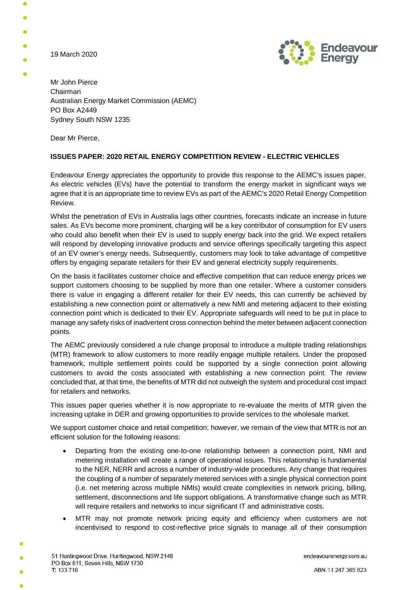19 March 2020



Mr John Pierce Chairman Australian Energy Market Commission (AEMC) PO Box A2449 Sydney South NSW 1235

Dear Mr Pierce,

## **ISSUES PAPER: 2020 RETAIL ENERGY COMPETITION REVIEW - ELECTRIC VEHICLES**

Endeavour Energy appreciates the opportunity to provide this response to the AEMC's issues paper. As electric vehicles (EVs) have the potential to transform the energy market in significant ways we agree that it is an appropriate time to review EVs as part of the AEMC's 2020 Retail Energy Competition Review.

Whilst the penetration of EVs in Australia lags other countries, forecasts indicate an increase in future sales. As EVs become more prominent, charging will be a key contributor of consumption for EV users who could also benefit when their EV is used to supply energy back into the grid. We expect retailers will respond by developing innovative products and service offerings specifically targeting this aspect of an EV owner's energy needs. Subsequently, customers may look to take advantage of competitive offers by engaging separate retailers for their EV and general electricity supply requirements.

On the basis it facilitates customer choice and effective competition that can reduce energy prices we support customers choosing to be supplied by more than one retailer. Where a customer considers there is value in engaging a different retailer for their EV needs, this can currently be achieved by establishing a new connection point or alternatively a new NMI and metering adjacent to their existing connection point which is dedicated to their EV. Appropriate safeguards will need to be put in place to manage any safety risks of inadvertent cross connection behind the meter between adjacent connection points.

The AEMC previously considered a rule change proposal to introduce a multiple trading relationships (MTR) framework to allow customers to more readily engage multiple retailers. Under the proposed framework, multiple settlement points could be supported by a single connection point allowing customers to avoid the costs associated with establishing a new connection point. The review concluded that, at that time, the benefits of MTR did not outweigh the system and procedural cost impact for retailers and networks.

This issues paper queries whether it is now appropriate to re-evaluate the merits of MTR given the increasing uptake in DER and growing opportunities to provide services to the wholesale market.

We support customer choice and retail competition; however, we remain of the view that MTR is not an efficient solution for the following reasons:

- Departing from the existing one-to-one relationship between a connection point, NMI and metering installation will create a range of operational issues. This relationship is fundamental to the NER, NERR and across a number of industry-wide procedures. Any change that requires the coupling of a number of separately metered services with a single physical connection point (i.e. net metering across multiple NMIs) would create complexities in network pricing, billing, settlement, disconnections and life support obligations. A transformative change such as MTR will require retailers and networks to incur significant IT and administrative costs.
- · MTR may not promote network pricing equity and efficiency when customers are not incentivised to respond to cost-reflective price signals to manage all of their consumption